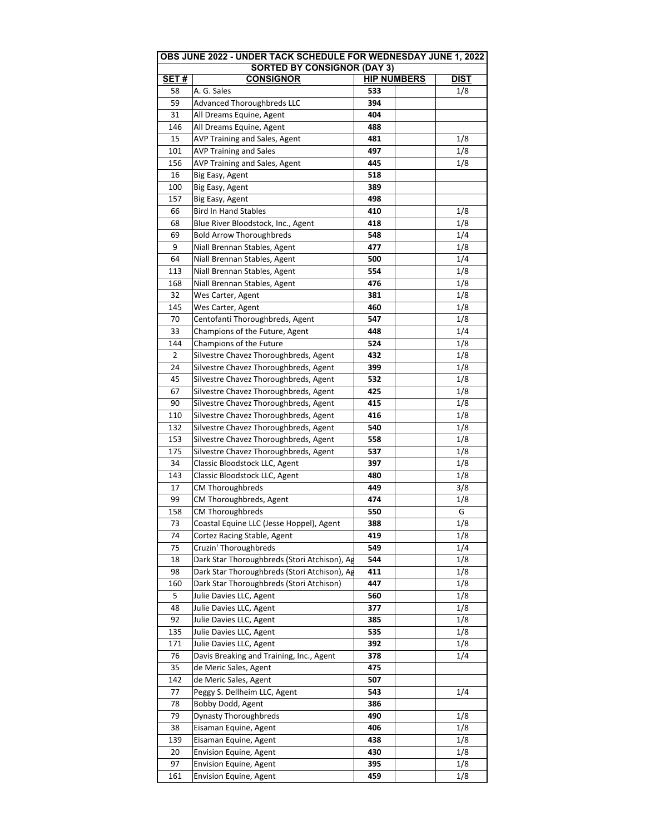| OBS JUNE 2022 - UNDER TACK SCHEDULE FOR WEDNESDAY JUNE 1, 2022 |                                              |                    |             |  |  |  |  |
|----------------------------------------------------------------|----------------------------------------------|--------------------|-------------|--|--|--|--|
| <b>SORTED BY CONSIGNOR (DAY 3)</b>                             |                                              |                    |             |  |  |  |  |
| SET#                                                           | <b>CONSIGNOR</b>                             | <b>HIP NUMBERS</b> | <b>DIST</b> |  |  |  |  |
| 58<br>59                                                       | A. G. Sales<br>Advanced Thoroughbreds LLC    | 533<br>394         | 1/8         |  |  |  |  |
| 31                                                             | All Dreams Equine, Agent                     | 404                |             |  |  |  |  |
| 146                                                            | All Dreams Equine, Agent                     | 488                |             |  |  |  |  |
| 15                                                             | AVP Training and Sales, Agent                | 481                | 1/8         |  |  |  |  |
| 101                                                            | <b>AVP Training and Sales</b>                | 497                | 1/8         |  |  |  |  |
| 156                                                            | AVP Training and Sales, Agent                | 445                | 1/8         |  |  |  |  |
| 16                                                             | Big Easy, Agent                              | 518                |             |  |  |  |  |
| 100                                                            | Big Easy, Agent                              | 389                |             |  |  |  |  |
| 157                                                            | Big Easy, Agent                              | 498                |             |  |  |  |  |
| 66                                                             | <b>Bird In Hand Stables</b>                  | 410                | 1/8         |  |  |  |  |
| 68                                                             | Blue River Bloodstock, Inc., Agent           | 418                | 1/8         |  |  |  |  |
| 69                                                             | <b>Bold Arrow Thoroughbreds</b>              | 548                | 1/4         |  |  |  |  |
| 9                                                              | Niall Brennan Stables, Agent                 | 477                | 1/8         |  |  |  |  |
| 64                                                             | Niall Brennan Stables, Agent                 | 500                | 1/4         |  |  |  |  |
| 113                                                            | Niall Brennan Stables, Agent                 | 554                | 1/8         |  |  |  |  |
| 168                                                            | Niall Brennan Stables, Agent                 | 476                | 1/8         |  |  |  |  |
| 32                                                             | Wes Carter, Agent                            | 381                | 1/8         |  |  |  |  |
| 145                                                            | Wes Carter, Agent                            | 460                | 1/8         |  |  |  |  |
| 70                                                             | Centofanti Thoroughbreds, Agent              | 547                | 1/8         |  |  |  |  |
| 33                                                             | Champions of the Future, Agent               | 448                | 1/4         |  |  |  |  |
| 144                                                            | Champions of the Future                      | 524                | 1/8         |  |  |  |  |
| 2                                                              | Silvestre Chavez Thoroughbreds, Agent        | 432                | 1/8         |  |  |  |  |
| 24                                                             | Silvestre Chavez Thoroughbreds, Agent        | 399                | 1/8         |  |  |  |  |
| 45                                                             | Silvestre Chavez Thoroughbreds, Agent        | 532                | 1/8         |  |  |  |  |
| 67                                                             | Silvestre Chavez Thoroughbreds, Agent        | 425                | 1/8         |  |  |  |  |
| 90                                                             | Silvestre Chavez Thoroughbreds, Agent        | 415                | 1/8         |  |  |  |  |
| 110                                                            | Silvestre Chavez Thoroughbreds, Agent        | 416                | 1/8         |  |  |  |  |
| 132                                                            | Silvestre Chavez Thoroughbreds, Agent        | 540                | 1/8         |  |  |  |  |
| 153                                                            | Silvestre Chavez Thoroughbreds, Agent        | 558                | 1/8         |  |  |  |  |
| 175                                                            | Silvestre Chavez Thoroughbreds, Agent        | 537                | 1/8         |  |  |  |  |
| 34                                                             | Classic Bloodstock LLC, Agent                | 397                | 1/8         |  |  |  |  |
| 143                                                            | Classic Bloodstock LLC, Agent                | 480                | 1/8         |  |  |  |  |
| 17                                                             | <b>CM Thoroughbreds</b>                      | 449                | 3/8         |  |  |  |  |
| 99                                                             | CM Thoroughbreds, Agent                      | 474                | 1/8         |  |  |  |  |
| 158                                                            | <b>CM Thoroughbreds</b>                      | 550                | G           |  |  |  |  |
| 73                                                             | Coastal Equine LLC (Jesse Hoppel), Agent     | 388                | 1/8         |  |  |  |  |
| 74                                                             | Cortez Racing Stable, Agent                  | 419                | 1/8         |  |  |  |  |
| 75                                                             | Cruzin' Thoroughbreds                        | 549                | 1/4         |  |  |  |  |
| 18                                                             | Dark Star Thoroughbreds (Stori Atchison), Ag | 544                | 1/8         |  |  |  |  |
| 98                                                             | Dark Star Thoroughbreds (Stori Atchison), Ag | 411                | 1/8         |  |  |  |  |
| 160                                                            | Dark Star Thoroughbreds (Stori Atchison)     | 447                | 1/8         |  |  |  |  |
| 5                                                              | Julie Davies LLC, Agent                      | 560                | 1/8         |  |  |  |  |
| 48                                                             | Julie Davies LLC, Agent                      | 377                | 1/8         |  |  |  |  |
| 92                                                             | Julie Davies LLC, Agent                      | 385                | 1/8         |  |  |  |  |
| 135                                                            | Julie Davies LLC, Agent                      | 535                | 1/8         |  |  |  |  |
| 171                                                            | Julie Davies LLC, Agent                      | 392                | 1/8         |  |  |  |  |
| 76                                                             | Davis Breaking and Training, Inc., Agent     | 378                | 1/4         |  |  |  |  |
| 35                                                             | de Meric Sales, Agent                        | 475                |             |  |  |  |  |
| 142                                                            | de Meric Sales, Agent                        | 507                |             |  |  |  |  |
| 77                                                             | Peggy S. Dellheim LLC, Agent                 | 543                | 1/4         |  |  |  |  |
| 78                                                             | Bobby Dodd, Agent                            | 386                |             |  |  |  |  |
| 79                                                             | <b>Dynasty Thoroughbreds</b>                 | 490                | 1/8         |  |  |  |  |
| 38                                                             | Eisaman Equine, Agent                        | 406                | 1/8         |  |  |  |  |
| 139                                                            | Eisaman Equine, Agent                        | 438                | 1/8         |  |  |  |  |
| 20                                                             | Envision Equine, Agent                       | 430                | 1/8         |  |  |  |  |
| 97                                                             | Envision Equine, Agent                       | 395                | 1/8         |  |  |  |  |
| 161                                                            | Envision Equine, Agent                       | 459                | 1/8         |  |  |  |  |
|                                                                |                                              |                    |             |  |  |  |  |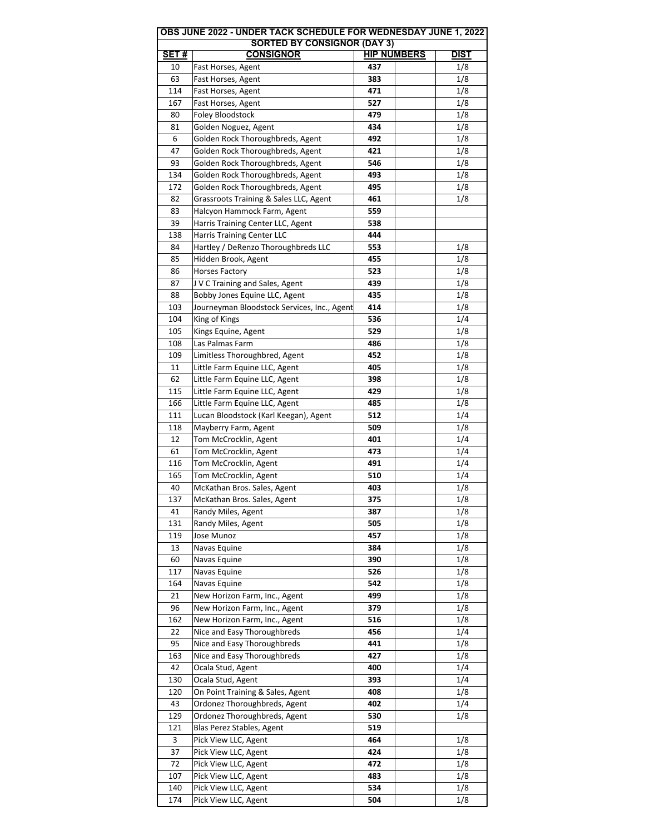|                                    |                                              |                    | OBS JUNE 2022 - UNDER TACK SCHEDULE FOR WEDNESDAY JUNE 1, 2022 |  |  |  |  |  |  |  |
|------------------------------------|----------------------------------------------|--------------------|----------------------------------------------------------------|--|--|--|--|--|--|--|
| <b>SORTED BY CONSIGNOR (DAY 3)</b> |                                              |                    |                                                                |  |  |  |  |  |  |  |
| <b>SET#</b>                        | <b>CONSIGNOR</b>                             | <b>HIP NUMBERS</b> | <b>DIST</b>                                                    |  |  |  |  |  |  |  |
| 10                                 | Fast Horses, Agent                           | 437                | 1/8                                                            |  |  |  |  |  |  |  |
| 63                                 | Fast Horses, Agent                           | 383                | 1/8                                                            |  |  |  |  |  |  |  |
| 114                                | Fast Horses, Agent                           | 471                | 1/8                                                            |  |  |  |  |  |  |  |
| 167                                | Fast Horses, Agent                           | 527                | 1/8                                                            |  |  |  |  |  |  |  |
| 80                                 | Foley Bloodstock                             | 479                | 1/8                                                            |  |  |  |  |  |  |  |
| 81                                 | Golden Noguez, Agent                         | 434                | 1/8                                                            |  |  |  |  |  |  |  |
| 6                                  | Golden Rock Thoroughbreds, Agent             | 492                | 1/8                                                            |  |  |  |  |  |  |  |
| 47                                 | Golden Rock Thoroughbreds, Agent             | 421                | 1/8                                                            |  |  |  |  |  |  |  |
| 93                                 | Golden Rock Thoroughbreds, Agent             | 546                | 1/8                                                            |  |  |  |  |  |  |  |
| 134                                | Golden Rock Thoroughbreds, Agent             | 493                | 1/8                                                            |  |  |  |  |  |  |  |
| 172                                | Golden Rock Thoroughbreds, Agent             | 495                | 1/8                                                            |  |  |  |  |  |  |  |
| 82                                 | Grassroots Training & Sales LLC, Agent       | 461                | 1/8                                                            |  |  |  |  |  |  |  |
| 83                                 | Halcyon Hammock Farm, Agent                  | 559                |                                                                |  |  |  |  |  |  |  |
| 39                                 | Harris Training Center LLC, Agent            | 538                |                                                                |  |  |  |  |  |  |  |
| 138                                | <b>Harris Training Center LLC</b>            | 444                |                                                                |  |  |  |  |  |  |  |
| 84                                 | Hartley / DeRenzo Thoroughbreds LLC          | 553                | 1/8                                                            |  |  |  |  |  |  |  |
| 85                                 | Hidden Brook, Agent                          | 455                | 1/8                                                            |  |  |  |  |  |  |  |
| 86                                 | <b>Horses Factory</b>                        | 523                | 1/8                                                            |  |  |  |  |  |  |  |
| 87                                 | J V C Training and Sales, Agent              | 439                | 1/8                                                            |  |  |  |  |  |  |  |
| 88                                 | Bobby Jones Equine LLC, Agent                | 435                | 1/8                                                            |  |  |  |  |  |  |  |
| 103                                | Journeyman Bloodstock Services, Inc., Agent  | 414                | 1/8                                                            |  |  |  |  |  |  |  |
| 104                                | King of Kings                                | 536                | 1/4                                                            |  |  |  |  |  |  |  |
| 105                                | Kings Equine, Agent                          | 529                | 1/8                                                            |  |  |  |  |  |  |  |
| 108                                | Las Palmas Farm                              | 486                | 1/8                                                            |  |  |  |  |  |  |  |
| 109                                | Limitless Thoroughbred, Agent                | 452                | 1/8                                                            |  |  |  |  |  |  |  |
| 11                                 | Little Farm Equine LLC, Agent                | 405                | 1/8                                                            |  |  |  |  |  |  |  |
| 62                                 | Little Farm Equine LLC, Agent                | 398                | 1/8                                                            |  |  |  |  |  |  |  |
| 115                                | Little Farm Equine LLC, Agent                | 429                | 1/8                                                            |  |  |  |  |  |  |  |
| 166                                | Little Farm Equine LLC, Agent                | 485                | 1/8                                                            |  |  |  |  |  |  |  |
| 111                                | Lucan Bloodstock (Karl Keegan), Agent        | 512                | 1/4                                                            |  |  |  |  |  |  |  |
| 118                                | Mayberry Farm, Agent                         | 509                | 1/8                                                            |  |  |  |  |  |  |  |
| 12                                 | Tom McCrocklin, Agent                        | 401                | 1/4                                                            |  |  |  |  |  |  |  |
| 61                                 | Tom McCrocklin, Agent                        | 473                | 1/4                                                            |  |  |  |  |  |  |  |
| 116                                | Tom McCrocklin, Agent                        | 491                | 1/4                                                            |  |  |  |  |  |  |  |
| 165                                | Tom McCrocklin, Agent                        |                    | 1/4                                                            |  |  |  |  |  |  |  |
|                                    |                                              | 510                |                                                                |  |  |  |  |  |  |  |
| 40                                 | McKathan Bros. Sales, Agent                  | 403                | 1/8                                                            |  |  |  |  |  |  |  |
| 137                                | McKathan Bros. Sales, Agent                  | 375                | 1/8                                                            |  |  |  |  |  |  |  |
| 41                                 | Randy Miles, Agent                           | 387                | 1/8                                                            |  |  |  |  |  |  |  |
| 131                                | Randy Miles, Agent                           | 505                | 1/8                                                            |  |  |  |  |  |  |  |
| 119                                | Jose Munoz                                   | 457                | 1/8                                                            |  |  |  |  |  |  |  |
| 13                                 | Navas Equine                                 | 384                | 1/8                                                            |  |  |  |  |  |  |  |
| 60                                 | Navas Equine                                 | 390                | 1/8                                                            |  |  |  |  |  |  |  |
| 117                                | Navas Equine                                 | 526                | 1/8                                                            |  |  |  |  |  |  |  |
| 164                                | Navas Equine                                 | 542                | 1/8                                                            |  |  |  |  |  |  |  |
| 21                                 | New Horizon Farm, Inc., Agent                | 499                | 1/8                                                            |  |  |  |  |  |  |  |
| 96                                 | New Horizon Farm, Inc., Agent                | 379                | 1/8                                                            |  |  |  |  |  |  |  |
| 162                                | New Horizon Farm, Inc., Agent                | 516                | 1/8                                                            |  |  |  |  |  |  |  |
| 22                                 | Nice and Easy Thoroughbreds                  | 456                | 1/4                                                            |  |  |  |  |  |  |  |
| 95                                 | Nice and Easy Thoroughbreds                  | 441                | 1/8                                                            |  |  |  |  |  |  |  |
| 163                                | Nice and Easy Thoroughbreds                  | 427                | 1/8                                                            |  |  |  |  |  |  |  |
| 42                                 | Ocala Stud, Agent                            | 400                | 1/4                                                            |  |  |  |  |  |  |  |
| 130                                | Ocala Stud, Agent                            | 393                | 1/4                                                            |  |  |  |  |  |  |  |
| 120                                | On Point Training & Sales, Agent             | 408                | 1/8                                                            |  |  |  |  |  |  |  |
|                                    | Ordonez Thoroughbreds, Agent                 | 402                | 1/4                                                            |  |  |  |  |  |  |  |
| 43                                 |                                              | 530                | 1/8                                                            |  |  |  |  |  |  |  |
| 129                                | Ordonez Thoroughbreds, Agent                 |                    |                                                                |  |  |  |  |  |  |  |
| 121                                | Blas Perez Stables, Agent                    | 519                |                                                                |  |  |  |  |  |  |  |
| 3                                  | Pick View LLC, Agent                         | 464                | 1/8                                                            |  |  |  |  |  |  |  |
| 37                                 | Pick View LLC, Agent                         | 424                | 1/8                                                            |  |  |  |  |  |  |  |
| 72                                 | Pick View LLC, Agent                         | 472                | 1/8                                                            |  |  |  |  |  |  |  |
| 107                                |                                              | 483                | 1/8                                                            |  |  |  |  |  |  |  |
| 140                                | Pick View LLC, Agent<br>Pick View LLC, Agent | 534                | 1/8                                                            |  |  |  |  |  |  |  |